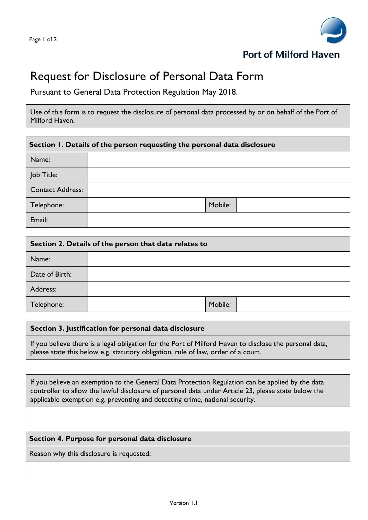

## Request for Disclosure of Personal Data Form

Pursuant to General Data Protection Regulation May 2018.

Use of this form is to request the disclosure of personal data processed by or on behalf of the Port of Milford Haven.

| Section 1. Details of the person requesting the personal data disclosure |         |  |  |  |
|--------------------------------------------------------------------------|---------|--|--|--|
| Name:                                                                    |         |  |  |  |
| Job Title:                                                               |         |  |  |  |
| <b>Contact Address:</b>                                                  |         |  |  |  |
| Telephone:                                                               | Mobile: |  |  |  |
| Email:                                                                   |         |  |  |  |

| Section 2. Details of the person that data relates to |         |  |  |
|-------------------------------------------------------|---------|--|--|
| Name:                                                 |         |  |  |
| Date of Birth:                                        |         |  |  |
| Address:                                              |         |  |  |
| Telephone:                                            | Mobile: |  |  |

## **Section 3. Justification for personal data disclosure**

If you believe there is a legal obligation for the Port of Milford Haven to disclose the personal data, please state this below e.g. statutory obligation, rule of law, order of a court.

If you believe an exemption to the General Data Protection Regulation can be applied by the data controller to allow the lawful disclosure of personal data under Article 23, please state below the applicable exemption e.g. preventing and detecting crime, national security.

## **Section 4. Purpose for personal data disclosure**

Reason why this disclosure is requested: